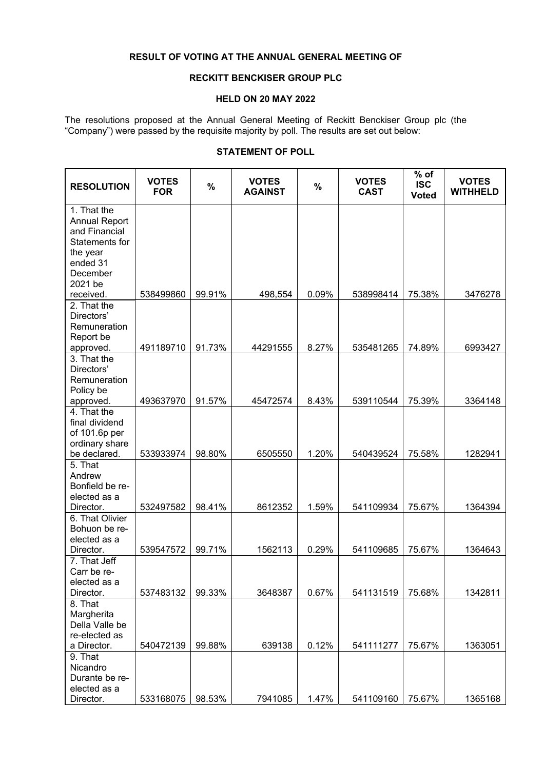## **RESULT OF VOTING AT THE ANNUAL GENERAL MEETING OF**

## **RECKITT BENCKISER GROUP PLC**

## **HELD ON 20 MAY 2022**

The resolutions proposed at the Annual General Meeting of Reckitt Benckiser Group plc (the "Company") were passed by the requisite majority by poll. The results are set out below:

## **STATEMENT OF POLL**

| <b>RESOLUTION</b>               | <b>VOTES</b><br><b>FOR</b> | $\%$   | <b>VOTES</b><br><b>AGAINST</b> | $\frac{0}{0}$ | <b>VOTES</b><br><b>CAST</b> | $%$ of<br><b>ISC</b><br><b>Voted</b> | <b>VOTES</b><br><b>WITHHELD</b> |
|---------------------------------|----------------------------|--------|--------------------------------|---------------|-----------------------------|--------------------------------------|---------------------------------|
| 1. That the                     |                            |        |                                |               |                             |                                      |                                 |
| <b>Annual Report</b>            |                            |        |                                |               |                             |                                      |                                 |
| and Financial                   |                            |        |                                |               |                             |                                      |                                 |
| Statements for                  |                            |        |                                |               |                             |                                      |                                 |
| the year<br>ended 31            |                            |        |                                |               |                             |                                      |                                 |
| December                        |                            |        |                                |               |                             |                                      |                                 |
| 2021 be                         |                            |        |                                |               |                             |                                      |                                 |
| received.                       | 538499860                  | 99.91% | 498,554                        | 0.09%         | 538998414                   | 75.38%                               | 3476278                         |
| 2. That the                     |                            |        |                                |               |                             |                                      |                                 |
| Directors'                      |                            |        |                                |               |                             |                                      |                                 |
| Remuneration                    |                            |        |                                |               |                             |                                      |                                 |
| Report be                       |                            |        |                                |               |                             |                                      |                                 |
| approved.                       | 491189710                  | 91.73% | 44291555                       | 8.27%         | 535481265                   | 74.89%                               | 6993427                         |
| 3. That the                     |                            |        |                                |               |                             |                                      |                                 |
| Directors'                      |                            |        |                                |               |                             |                                      |                                 |
| Remuneration                    |                            |        |                                |               |                             |                                      |                                 |
| Policy be                       |                            |        |                                |               |                             |                                      |                                 |
| approved.                       | 493637970                  | 91.57% | 45472574                       | 8.43%         | 539110544                   | 75.39%                               | 3364148                         |
| 4. That the                     |                            |        |                                |               |                             |                                      |                                 |
| final dividend                  |                            |        |                                |               |                             |                                      |                                 |
| of 101.6p per<br>ordinary share |                            |        |                                |               |                             |                                      |                                 |
| be declared.                    | 533933974                  | 98.80% | 6505550                        | 1.20%         | 540439524                   | 75.58%                               | 1282941                         |
| 5. That                         |                            |        |                                |               |                             |                                      |                                 |
| Andrew                          |                            |        |                                |               |                             |                                      |                                 |
| Bonfield be re-                 |                            |        |                                |               |                             |                                      |                                 |
| elected as a                    |                            |        |                                |               |                             |                                      |                                 |
| Director.                       | 532497582                  | 98.41% | 8612352                        | 1.59%         | 541109934                   | 75.67%                               | 1364394                         |
| 6. That Olivier                 |                            |        |                                |               |                             |                                      |                                 |
| Bohuon be re-                   |                            |        |                                |               |                             |                                      |                                 |
| elected as a                    |                            |        |                                |               |                             |                                      |                                 |
| Director.                       | 539547572                  | 99.71% | 1562113                        | 0.29%         | 541109685                   | 75.67%                               | 1364643                         |
| 7. That Jeff                    |                            |        |                                |               |                             |                                      |                                 |
| Carr be re-<br>elected as a     |                            |        |                                |               |                             |                                      |                                 |
| Director.                       | 537483132                  | 99.33% | 3648387                        | 0.67%         | 541131519                   | 75.68%                               | 1342811                         |
| 8. That                         |                            |        |                                |               |                             |                                      |                                 |
| Margherita                      |                            |        |                                |               |                             |                                      |                                 |
| Della Valle be                  |                            |        |                                |               |                             |                                      |                                 |
| re-elected as                   |                            |        |                                |               |                             |                                      |                                 |
| a Director.                     | 540472139                  | 99.88% | 639138                         | 0.12%         | 541111277                   | 75.67%                               | 1363051                         |
| 9. That                         |                            |        |                                |               |                             |                                      |                                 |
| Nicandro                        |                            |        |                                |               |                             |                                      |                                 |
| Durante be re-                  |                            |        |                                |               |                             |                                      |                                 |
| elected as a                    |                            |        |                                |               |                             |                                      |                                 |
| Director.                       | 533168075                  | 98.53% | 7941085                        | 1.47%         | 541109160                   | 75.67%                               | 1365168                         |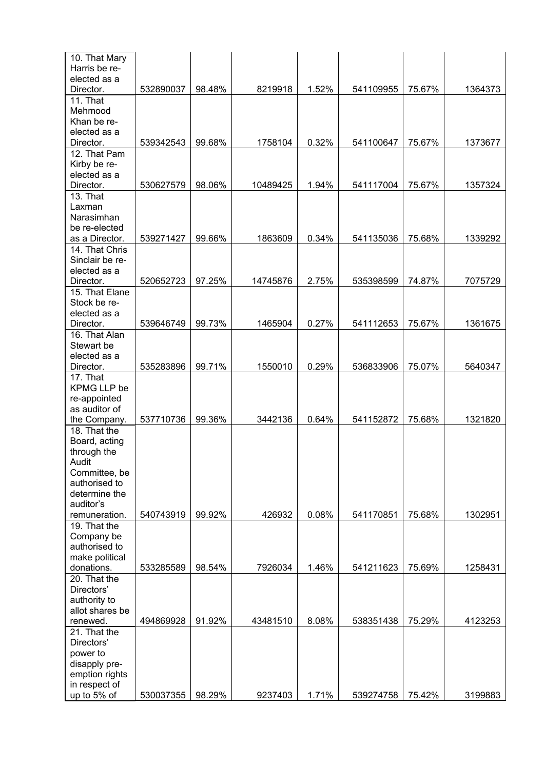| 10. That Mary   |           |        |          |       |           |        |         |
|-----------------|-----------|--------|----------|-------|-----------|--------|---------|
| Harris be re-   |           |        |          |       |           |        |         |
| elected as a    |           |        |          |       |           |        |         |
| Director.       | 532890037 | 98.48% | 8219918  | 1.52% | 541109955 | 75.67% | 1364373 |
| 11. That        |           |        |          |       |           |        |         |
| Mehmood         |           |        |          |       |           |        |         |
| Khan be re-     |           |        |          |       |           |        |         |
| elected as a    |           |        |          |       |           |        |         |
| Director.       | 539342543 | 99.68% | 1758104  | 0.32% | 541100647 | 75.67% | 1373677 |
| 12. That Pam    |           |        |          |       |           |        |         |
| Kirby be re-    |           |        |          |       |           |        |         |
| elected as a    |           |        |          |       |           |        |         |
| Director.       | 530627579 | 98.06% | 10489425 | 1.94% | 541117004 | 75.67% | 1357324 |
| 13. That        |           |        |          |       |           |        |         |
| Laxman          |           |        |          |       |           |        |         |
| Narasimhan      |           |        |          |       |           |        |         |
| be re-elected   |           |        |          |       |           |        |         |
| as a Director.  | 539271427 | 99.66% | 1863609  | 0.34% | 541135036 | 75.68% | 1339292 |
| 14. That Chris  |           |        |          |       |           |        |         |
| Sinclair be re- |           |        |          |       |           |        |         |
| elected as a    |           |        |          |       |           |        |         |
| Director.       | 520652723 | 97.25% | 14745876 | 2.75% | 535398599 | 74.87% | 7075729 |
| 15. That Elane  |           |        |          |       |           |        |         |
| Stock be re-    |           |        |          |       |           |        |         |
| elected as a    |           |        |          |       |           |        |         |
| Director.       | 539646749 | 99.73% | 1465904  | 0.27% | 541112653 | 75.67% | 1361675 |
| 16. That Alan   |           |        |          |       |           |        |         |
| Stewart be      |           |        |          |       |           |        |         |
| elected as a    |           |        |          |       |           |        |         |
| Director.       | 535283896 | 99.71% | 1550010  | 0.29% | 536833906 | 75.07% | 5640347 |
| 17. That        |           |        |          |       |           |        |         |
| KPMG LLP be     |           |        |          |       |           |        |         |
| re-appointed    |           |        |          |       |           |        |         |
| as auditor of   |           |        |          |       |           |        |         |
| the Company.    | 537710736 | 99.36% | 3442136  | 0.64% | 541152872 | 75.68% | 1321820 |
| 18. That the    |           |        |          |       |           |        |         |
| Board, acting   |           |        |          |       |           |        |         |
| through the     |           |        |          |       |           |        |         |
| Audit           |           |        |          |       |           |        |         |
| Committee, be   |           |        |          |       |           |        |         |
| authorised to   |           |        |          |       |           |        |         |
| determine the   |           |        |          |       |           |        |         |
| auditor's       |           |        |          |       |           |        |         |
| remuneration.   | 540743919 | 99.92% | 426932   | 0.08% | 541170851 | 75.68% | 1302951 |
| 19. That the    |           |        |          |       |           |        |         |
| Company be      |           |        |          |       |           |        |         |
| authorised to   |           |        |          |       |           |        |         |
| make political  |           |        |          |       |           |        |         |
| donations.      | 533285589 | 98.54% | 7926034  | 1.46% | 541211623 | 75.69% | 1258431 |
| 20. That the    |           |        |          |       |           |        |         |
| Directors'      |           |        |          |       |           |        |         |
| authority to    |           |        |          |       |           |        |         |
| allot shares be |           |        |          |       |           |        |         |
| renewed.        | 494869928 | 91.92% | 43481510 | 8.08% | 538351438 | 75.29% | 4123253 |
| 21. That the    |           |        |          |       |           |        |         |
| Directors'      |           |        |          |       |           |        |         |
| power to        |           |        |          |       |           |        |         |
| disapply pre-   |           |        |          |       |           |        |         |
| emption rights  |           |        |          |       |           |        |         |
| in respect of   |           |        |          |       |           |        |         |
| up to 5% of     | 530037355 | 98.29% | 9237403  | 1.71% | 539274758 | 75.42% | 3199883 |